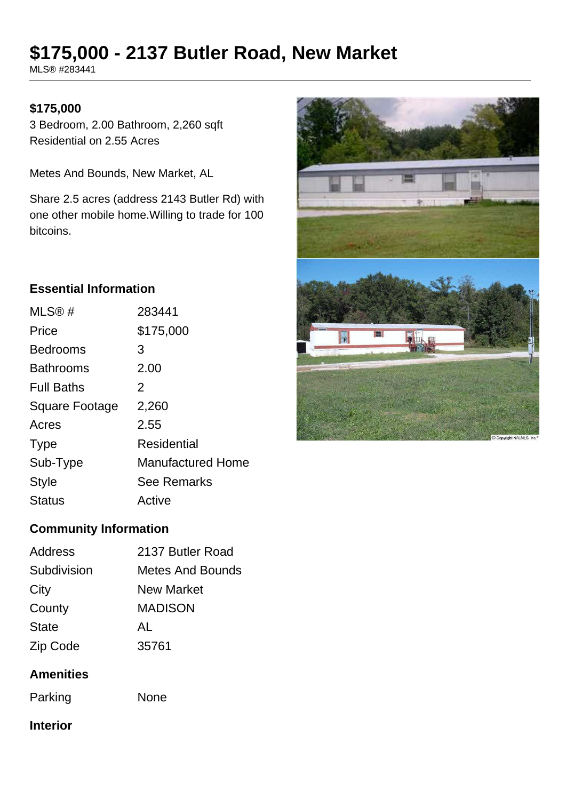# **\$175,000 - 2137 Butler Road, New Market**

MLS® #283441

## **\$175,000**

3 Bedroom, 2.00 Bathroom, 2,260 sqft Residential on 2.55 Acres

Metes And Bounds, New Market, AL

Share 2.5 acres (address 2143 Butler Rd) with one other mobile home.Willing to trade for 100 bitcoins.

## **Essential Information**

| MLS®#                 | 283441                   |
|-----------------------|--------------------------|
| Price                 | \$175,000                |
| <b>Bedrooms</b>       | 3                        |
| <b>Bathrooms</b>      | 2.00                     |
| <b>Full Baths</b>     | 2                        |
| <b>Square Footage</b> | 2,260                    |
| Acres                 | 2.55                     |
| <b>Type</b>           | <b>Residential</b>       |
| Sub-Type              | <b>Manufactured Home</b> |
| <b>Style</b>          | <b>See Remarks</b>       |
| <b>Status</b>         | Active                   |
|                       |                          |



# **Community Information**

| Address      | 2137 Butler Road  |  |
|--------------|-------------------|--|
| Subdivision  | Metes And Bounds  |  |
| City         | <b>New Market</b> |  |
| County       | <b>MADISON</b>    |  |
| <b>State</b> | AL                |  |
| Zip Code     | 35761             |  |
|              |                   |  |

# **Amenities**

Parking None

#### **Interior**